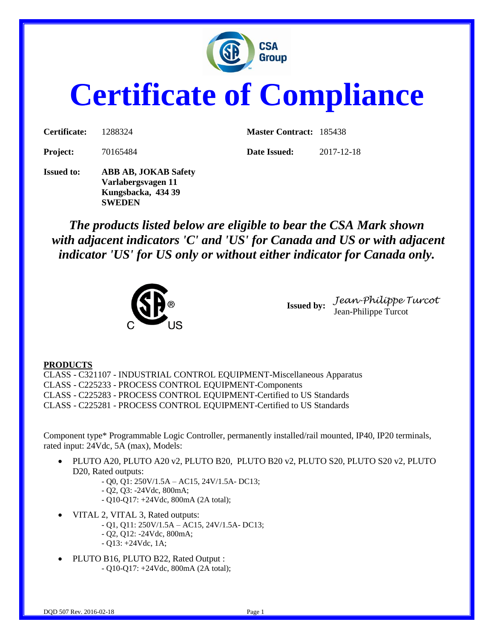

# **Certificate of Compliance**

| <b>Certificate:</b> | 1288324                     | <b>Master Contract: 185438</b> |            |
|---------------------|-----------------------------|--------------------------------|------------|
| Project:            | 70165484                    | Date Issued:                   | 2017-12-18 |
| <b>Issued to:</b>   | <b>ABB AB, JOKAB Safety</b> |                                |            |

**Issued to: ABB AB, JOKAB Safety Varlabergsvagen 11 Kungsbacka, 434 39 SWEDEN**

*The products listed below are eligible to bear the CSA Mark shown with adjacent indicators 'C' and 'US' for Canada and US or with adjacent indicator 'US' for US only or without either indicator for Canada only.*



**Issued by:** *Jean-Philippe Turcot* Jean-Philippe Turcot

#### **PRODUCTS**

CLASS - C321107 - INDUSTRIAL CONTROL EQUIPMENT-Miscellaneous Apparatus CLASS - C225233 - PROCESS CONTROL EQUIPMENT-Components CLASS - C225283 - PROCESS CONTROL EQUIPMENT-Certified to US Standards CLASS - C225281 - PROCESS CONTROL EQUIPMENT-Certified to US Standards

Component type\* Programmable Logic Controller, permanently installed/rail mounted, IP40, IP20 terminals, rated input: 24Vdc, 5A (max), Models:

- PLUTO A20, PLUTO A20 v2, PLUTO B20, PLUTO B20 v2, PLUTO S20, PLUTO S20 v2, PLUTO D20, Rated outputs:
	- Q0, Q1: 250V/1.5A AC15, 24V/1.5A- DC13;
	- Q2, Q3: -24Vdc, 800mA;
	- Q10-Q17: +24Vdc, 800mA (2A total);
- VITAL 2, VITAL 3, Rated outputs:
	- Q1, Q11: 250V/1.5A AC15, 24V/1.5A- DC13;
	- Q2, Q12: -24Vdc, 800mA;
	- $Q13: +24Vdc, 1A;$
- PLUTO B16, PLUTO B22, Rated Output : - Q10-Q17: +24Vdc, 800mA (2A total);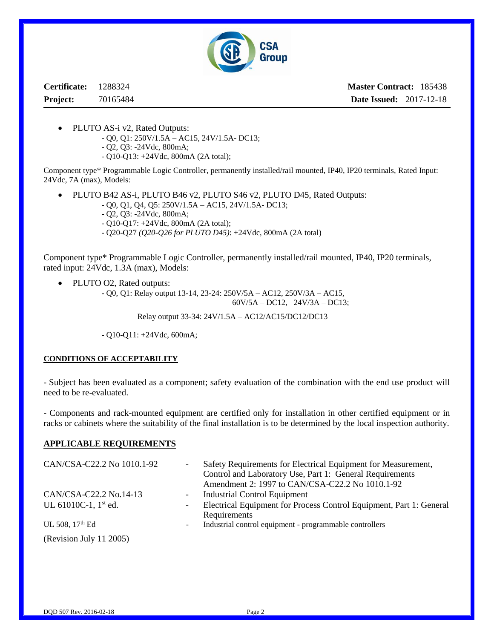

**Certificate:** 1288324 **Project:** 70165484

**Master Contract:** 185438 **Date Issued:** 2017-12-18

- PLUTO AS-i v2, Rated Outputs:
	- Q0, Q1: 250V/1.5A AC15, 24V/1.5A- DC13;
	- Q2, Q3: -24Vdc, 800mA;
	- Q10-Q13: +24Vdc, 800mA (2A total);

Component type\* Programmable Logic Controller, permanently installed/rail mounted, IP40, IP20 terminals, Rated Input: 24Vdc, 7A (max), Models:

PLUTO B42 AS-i, PLUTO B46 v2, PLUTO S46 v2, PLUTO D45, Rated Outputs:

- Q0, Q1, Q4, Q5: 250V/1.5A AC15, 24V/1.5A- DC13;
- Q2, Q3: -24Vdc, 800mA;
- Q10-Q17: +24Vdc, 800mA (2A total);
- Q20-Q27 *(Q20-Q26 for PLUTO D45)*: +24Vdc, 800mA (2A total)

Component type\* Programmable Logic Controller, permanently installed/rail mounted, IP40, IP20 terminals, rated input: 24Vdc, 1.3A (max), Models:

- PLUTO O2, Rated outputs:
	- Q0, Q1: Relay output 13-14, 23-24: 250V/5A AC12, 250V/3A AC15, 60V/5A – DC12, 24V/3A – DC13;

Relay output 33-34: 24V/1.5A – AC12/AC15/DC12/DC13

- Q10-Q11: +24Vdc, 600mA;

#### **CONDITIONS OF ACCEPTABILITY**

- Subject has been evaluated as a component; safety evaluation of the combination with the end use product will need to be re-evaluated.

- Components and rack-mounted equipment are certified only for installation in other certified equipment or in racks or cabinets where the suitability of the final installation is to be determined by the local inspection authority.

#### **APPLICABLE REQUIREMENTS**

| CAN/CSA-C22.2 No 1010.1-92       | $\overline{\phantom{a}}$ | Safety Requirements for Electrical Equipment for Measurement,       |
|----------------------------------|--------------------------|---------------------------------------------------------------------|
|                                  |                          | Control and Laboratory Use, Part 1: General Requirements            |
|                                  |                          | Amendment 2: 1997 to CAN/CSA-C22.2 No 1010.1-92                     |
| CAN/CSA-C22.2 No.14-13           | $\overline{\phantom{a}}$ | Industrial Control Equipment                                        |
| UL 61010C-1, $1^{\text{st}}$ ed. | -                        | Electrical Equipment for Process Control Equipment, Part 1: General |
|                                  |                          | Requirements                                                        |
| UL 508, 17 <sup>th</sup> Ed      | $\overline{\phantom{a}}$ | Industrial control equipment - programmable controllers             |
| (Revision July 11 2005)          |                          |                                                                     |